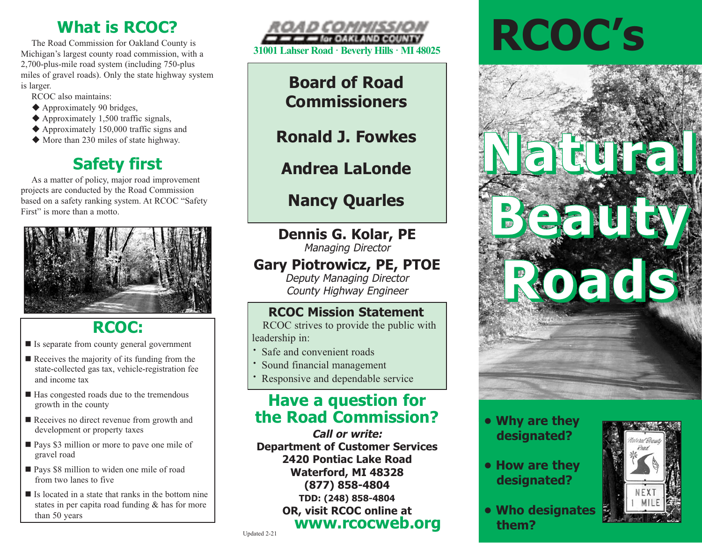## **What is RCOC?**

The Road Commission for Oakland County is Michigan's largest county road commission, with a 2,700-plus-mile road system (including 750-plus miles of gravel roads). Only the state highway system is larger.

RCOC also maintains:

- $\triangle$  Approximately 90 bridges,
- $\blacklozenge$  Approximately 1,500 traffic signals,
- $\triangle$  Approximately 150,000 traffic signs and
- $\blacklozenge$  More than 230 miles of state highway.

# **Safety first**

As a matter of policy, major road improvement projects are conducted by the Road Commission based on a safety ranking system. At RCOC "Safety First" is more than a motto.



# **RCOC:**

- $\blacksquare$  Is separate from county general government
- $\blacksquare$  Receives the majority of its funding from the state-collected gas tax, vehicle-registration fee and income tax
- $\blacksquare$  Has congested roads due to the tremendous growth in the county
- $\blacksquare$  Receives no direct revenue from growth and development or property taxes
- **n** Pays \$3 million or more to pave one mile of gravel road
- Pays \$8 million to widen one mile of road from two lanes to five
- $\blacksquare$  Is located in a state that ranks in the bottom nine states in per capita road funding & has for more than 50 years



## **Board of Road Commissioners**

**Ronald J. Fowkes** 

# **Andrea LaLonde**

# **Nancy Quarles**

# **Dennis G. Kolar, PE**

Managing Director

## **Gary Piotrowicz, PE, PTOE**

Deputy Managing Director County Highway Engineer

## **RCOC Mission Statement**

RCOC strives to provide the public with leadership in:

- **·** Safe and convenient roads
- **·** Sound financial management
- Responsive and dependable service

## **Have a question for the Road Commission?**

**Call or write: Department of Customer Services 2420 Pontiac Lake Road Waterford, MI 48328 (877) 858-4804 TDD: (248) 858-4804 OR, visit RCOC online at www.rcocweb.org**

# **RCOC's**



### **• Why are they designated?**

- **How are they designated?**
- **Who designates them?**